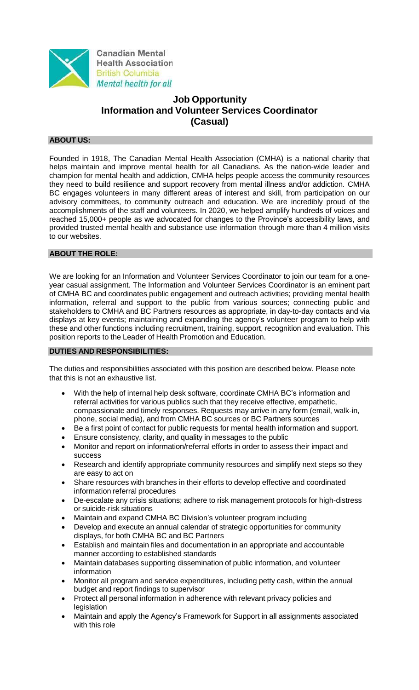

# **Job Opportunity Information and Volunteer Services Coordinator (Casual)**

# **ABOUT US:**

Founded in 1918, The Canadian Mental Health Association (CMHA) is a national charity that helps maintain and improve mental health for all Canadians. As the nation-wide leader and champion for mental health and addiction, CMHA helps people access the community resources they need to build resilience and support recovery from mental illness and/or addiction. CMHA BC engages volunteers in many different areas of interest and skill, from participation on our advisory committees, to community outreach and education. We are incredibly proud of the accomplishments of the staff and volunteers. In 2020, we helped amplify hundreds of voices and reached 15,000+ people as we advocated for changes to the Province's accessibility laws, and provided trusted mental health and substance use information through more than 4 million visits to our websites.

# **ABOUT THE ROLE:**

We are looking for an Information and Volunteer Services Coordinator to join our team for a oneyear casual assignment. The Information and Volunteer Services Coordinator is an eminent part of CMHA BC and coordinates public engagement and outreach activities; providing mental health information, referral and support to the public from various sources; connecting public and stakeholders to CMHA and BC Partners resources as appropriate, in day-to-day contacts and via displays at key events; maintaining and expanding the agency's volunteer program to help with these and other functions including recruitment, training, support, recognition and evaluation. This position reports to the Leader of Health Promotion and Education.

#### **DUTIES AND RESPONSIBILITIES:**

The duties and responsibilities associated with this position are described below. Please note that this is not an exhaustive list.

- With the help of internal help desk software, coordinate CMHA BC's information and referral activities for various publics such that they receive effective, empathetic, compassionate and timely responses. Requests may arrive in any form (email, walk-in, phone, social media), and from CMHA BC sources or BC Partners sources
- Be a first point of contact for public requests for mental health information and support.
- Ensure consistency, clarity, and quality in messages to the public
- Monitor and report on information/referral efforts in order to assess their impact and success
- Research and identify appropriate community resources and simplify next steps so they are easy to act on
- Share resources with branches in their efforts to develop effective and coordinated information referral procedures
- De-escalate any crisis situations; adhere to risk management protocols for high-distress or suicide-risk situations
- Maintain and expand CMHA BC Division's volunteer program including
- Develop and execute an annual calendar of strategic opportunities for community displays, for both CMHA BC and BC Partners
- Establish and maintain files and documentation in an appropriate and accountable manner according to established standards
- Maintain databases supporting dissemination of public information, and volunteer information
- Monitor all program and service expenditures, including petty cash, within the annual budget and report findings to supervisor
- Protect all personal information in adherence with relevant privacy policies and legislation
- Maintain and apply the Agency's Framework for Support in all assignments associated with this role